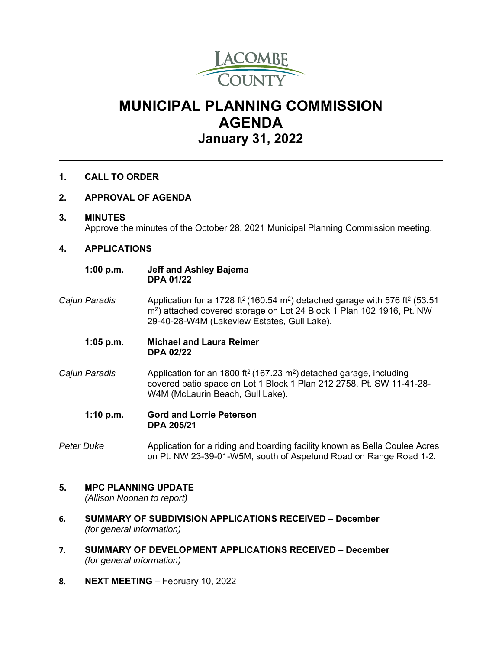

# **MUNICIPAL PLANNING COMMISSION AGENDA January 31, 2022**

### **1. CALL TO ORDER**

#### **2. APPROVAL OF AGENDA**

#### **3. MINUTES**

Approve the minutes of the October 28, 2021 Municipal Planning Commission meeting.

#### **4. APPLICATIONS**

#### **1:00 p.m. Jeff and Ashley Bajema DPA 01/22**

- *Cajun Paradis* Application for a 1728 ft2 (160.54 m2) detached garage with 576 ft2 (53.51 m2) attached covered storage on Lot 24 Block 1 Plan 102 1916, Pt. NW 29-40-28-W4M (Lakeview Estates, Gull Lake).
	- **1:05 p.m**. **Michael and Laura Reimer DPA 02/22**
- *Cajun Paradis* Application for an 1800 ft2 (167.23 m2) detached garage, including covered patio space on Lot 1 Block 1 Plan 212 2758, Pt. SW 11-41-28- W4M (McLaurin Beach, Gull Lake).
	- **1:10 p.m. Gord and Lorrie Peterson DPA 205/21**
- *Peter Duke* Application for a riding and boarding facility known as Bella Coulee Acres on Pt. NW 23-39-01-W5M, south of Aspelund Road on Range Road 1-2.

## **5. MPC PLANNING UPDATE**

*(Allison Noonan to report)* 

- **6. SUMMARY OF SUBDIVISION APPLICATIONS RECEIVED December** *(for general information)*
- **7. SUMMARY OF DEVELOPMENT APPLICATIONS RECEIVED December** *(for general information)*
- **8. NEXT MEETING** February 10, 2022